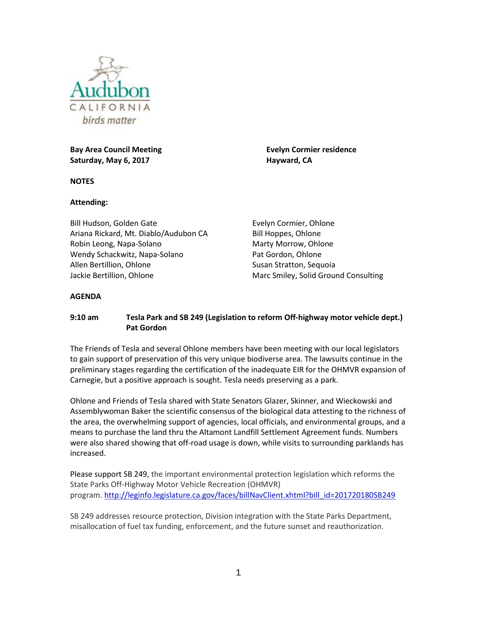

**Bay Area Council Meeting <b>Evelyn Cormier residence Saturday, May 6, 2017 Hayward, CA**

**NOTES**

## **Attending:**

Bill Hudson, Golden Gate Ariana Rickard, Mt. Diablo/Audubon CA Robin Leong, Napa-Solano Wendy Schackwitz, Napa-Solano Allen Bertillion, Ohlone Jackie Bertillion, Ohlone

Evelyn Cormier, Ohlone Bill Hoppes, Ohlone Marty Morrow, Ohlone Pat Gordon, Ohlone Susan Stratton, Sequoia Marc Smiley, Solid Ground Consulting

## **AGENDA**

## **9:10 am Tesla Park and SB 249 (Legislation to reform Off-highway motor vehicle dept.) Pat Gordon**

The Friends of Tesla and several Ohlone members have been meeting with our local legislators to gain support of preservation of this very unique biodiverse area. The lawsuits continue in the preliminary stages regarding the certification of the inadequate EIR for the OHMVR expansion of Carnegie, but a positive approach is sought. Tesla needs preserving as a park.

Ohlone and Friends of Tesla shared with State Senators Glazer, Skinner, and Wieckowski and Assemblywoman Baker the scientific consensus of the biological data attesting to the richness of the area, the overwhelming support of agencies, local officials, and environmental groups, and a means to purchase the land thru the Altamont Landfill Settlement Agreement funds. Numbers were also shared showing that off-road usage is down, while visits to surrounding parklands has increased.

Please support SB 249, the important environmental protection legislation which reforms the State Parks Off-Highway Motor Vehicle Recreation (OHMVR) program. [http://leginfo.legislature.ca.gov/faces/billNavClient.xhtml?bill\\_id=201720180SB249](http://leginfo.legislature.ca.gov/faces/billNavClient.xhtml?bill_id=201720180SB249)

SB 249 addresses resource protection, Division integration with the State Parks Department, misallocation of fuel tax funding, enforcement, and the future sunset and reauthorization.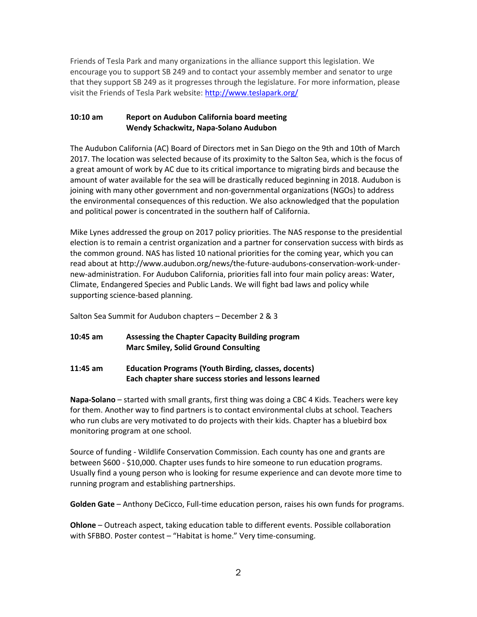Friends of Tesla Park and many organizations in the alliance support this legislation. We encourage you to support SB 249 and to contact your assembly member and senator to urge that they support SB 249 as it progresses through the legislature. For more information, please visit the Friends of Tesla Park website:<http://www.teslapark.org/>

## **10:10 am Report on Audubon California board meeting Wendy Schackwitz, Napa-Solano Audubon**

The Audubon California (AC) Board of Directors met in San Diego on the 9th and 10th of March 2017. The location was selected because of its proximity to the Salton Sea, which is the focus of a great amount of work by AC due to its critical importance to migrating birds and because the amount of water available for the sea will be drastically reduced beginning in 2018. Audubon is joining with many other government and non-governmental organizations (NGOs) to address the environmental consequences of this reduction. We also acknowledged that the population and political power is concentrated in the southern half of California.

Mike Lynes addressed the group on 2017 policy priorities. The NAS response to the presidential election is to remain a centrist organization and a partner for conservation success with birds as the common ground. NAS has listed 10 national priorities for the coming year, which you can read about at [http://www.audubon.org/news/the-future-audubons-conservation-work-under](http://www.audubon.org/news/the-future-audubons-conservation-work-under-new-administration)[new-administration.](http://www.audubon.org/news/the-future-audubons-conservation-work-under-new-administration) For Audubon California, priorities fall into four main policy areas: Water, Climate, Endangered Species and Public Lands. We will fight bad laws and policy while supporting science-based planning.

Salton Sea Summit for Audubon chapters – December 2 & 3

# **10:45 am Assessing the Chapter Capacity Building program Marc Smiley, Solid Ground Consulting**

**11:45 am Education Programs (Youth Birding, classes, docents) Each chapter share success stories and lessons learned**

**Napa-Solano** – started with small grants, first thing was doing a CBC 4 Kids. Teachers were key for them. Another way to find partners is to contact environmental clubs at school. Teachers who run clubs are very motivated to do projects with their kids. Chapter has a bluebird box monitoring program at one school.

Source of funding - Wildlife Conservation Commission. Each county has one and grants are between \$600 - \$10,000. Chapter uses funds to hire someone to run education programs. Usually find a young person who is looking for resume experience and can devote more time to running program and establishing partnerships.

**Golden Gate** – Anthony DeCicco, Full-time education person, raises his own funds for programs.

**Ohlone** – Outreach aspect, taking education table to different events. Possible collaboration with SFBBO. Poster contest – "Habitat is home." Very time-consuming.